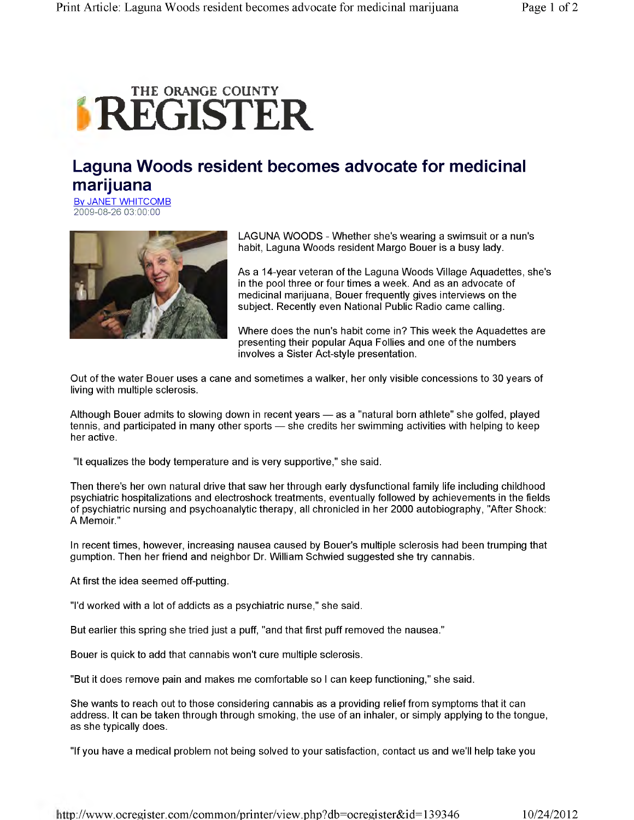## **IREGRANGE COUNTY**

## **Laguna Woods resident becomes advocate for medicinal marijuana**

By JANET WHITCOMB 2009-08-26 03:00:00



LAGUNA WOODS - Whether she's wearing a swimsuit or a nun's habit, Laguna Woods resident Margo Bouer is a busy lady.

As a 14-year veteran of the Laguna Woods Village Aquadettes, she's in the pool three or four times a week. And as an advocate of medicinal marijuana, Bouer frequently gives interviews on the subject. Recently even National Public Radio came calling.

Where does the nun's habit come in? This week the Aquadettes are presenting their popular Aqua Follies and one of the numbers involves a Sister Act-style presentation.

Out of the water Bouer uses a cane and sometimes a walker, her only visible concessions to 30 years of living with multiple sclerosis.

Although Bouer admits to slowing down in recent years — as a "natural born athlete" she golfed, played tennis, and participated in many other sports — she credits her swimming activities with helping to keep her active.

"It equalizes the body temperature and is very supportive," she said.

Then there's her own natural drive that saw her through early dysfunctional family life including childhood psychiatric hospitalizations and electroshock treatments, eventually followed by achievements in the fields of psychiatric nursing and psychoanalytic therapy, all chronicled in her 2000 autobiography, "After Shock: A Memoir."

In recent times, however, increasing nausea caused by Bouer's multiple sclerosis had been trumping that gumption. Then her friend and neighbor Dr. William Schwied suggested she try cannabis.

At first the idea seemed off-putting.

"I'd worked with a lot of addicts as a psychiatric nurse," she said.

But earlier this spring she tried just a puff, "and that first puff removed the nausea."

Bouer is quick to add that cannabis won't cure multiple sclerosis.

"But it does remove pain and makes me comfortable so I can keep functioning," she said.

She wants to reach out to those considering cannabis as a providing relief from symptoms that it can address. It can be taken through through smoking, the use of an inhaler, or simply applying to the tongue, as she typically does.

"If you have a medical problem not being solved to your satisfaction, contact us and we'll help take you

http://[www.ocregister.com/common/printer/view.php?db=ocregister&id=139346](http://www.ocregister.com/common/printer/view.php?db=ocregister&id=139346) 10/24/2012